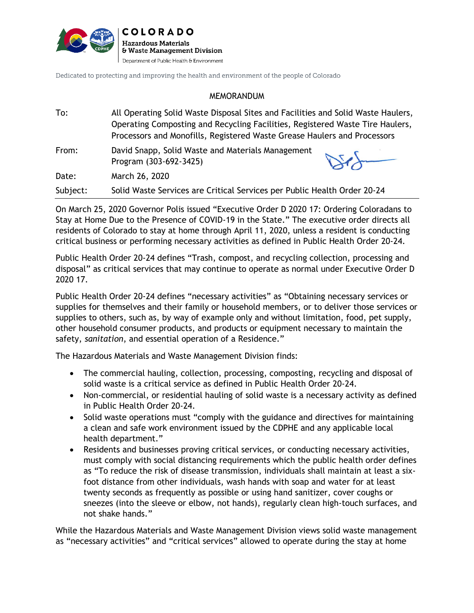

Dedicated to protecting and improving the health and environment of the people of Colorado

## MEMORANDUM

| To:      | All Operating Solid Waste Disposal Sites and Facilities and Solid Waste Haulers,<br>Operating Composting and Recycling Facilities, Registered Waste Tire Haulers,<br>Processors and Monofills, Registered Waste Grease Haulers and Processors |
|----------|-----------------------------------------------------------------------------------------------------------------------------------------------------------------------------------------------------------------------------------------------|
| From:    | David Snapp, Solid Waste and Materials Management<br>Df<br>Program (303-692-3425)                                                                                                                                                             |
| Date:    | March 26, 2020                                                                                                                                                                                                                                |
| Subject: | Solid Waste Services are Critical Services per Public Health Order 20-24                                                                                                                                                                      |

On March 25, 2020 Governor Polis issued "Executive Order D 2020 17: Ordering Coloradans to Stay at Home Due to the Presence of COVID-19 in the State." The executive order directs all residents of Colorado to stay at home through April 11, 2020, unless a resident is conducting critical business or performing necessary activities as defined in Public Health Order 20-24.

Public Health Order 20-24 defines "Trash, compost, and recycling collection, processing and disposal" as critical services that may continue to operate as normal under Executive Order D 2020 17.

Public Health Order 20-24 defines "necessary activities" as "Obtaining necessary services or supplies for themselves and their family or household members, or to deliver those services or supplies to others, such as, by way of example only and without limitation, food, pet supply, other household consumer products, and products or equipment necessary to maintain the safety, *sanitation*, and essential operation of a Residence."

The Hazardous Materials and Waste Management Division finds:

- The commercial hauling, collection, processing, composting, recycling and disposal of solid waste is a critical service as defined in Public Health Order 20-24.
- Non-commercial, or residential hauling of solid waste is a necessary activity as defined in Public Health Order 20-24.
- Solid waste operations must "comply with the guidance and directives for maintaining a clean and safe work environment issued by the CDPHE and any applicable local health department."
- Residents and businesses proving critical services, or conducting necessary activities, must comply with social distancing requirements which the public health order defines as "To reduce the risk of disease transmission, individuals shall maintain at least a sixfoot distance from other individuals, wash hands with soap and water for at least twenty seconds as frequently as possible or using hand sanitizer, cover coughs or sneezes (into the sleeve or elbow, not hands), regularly clean high-touch surfaces, and not shake hands."

While the Hazardous Materials and Waste Management Division views solid waste management as "necessary activities" and "critical services" allowed to operate during the stay at home